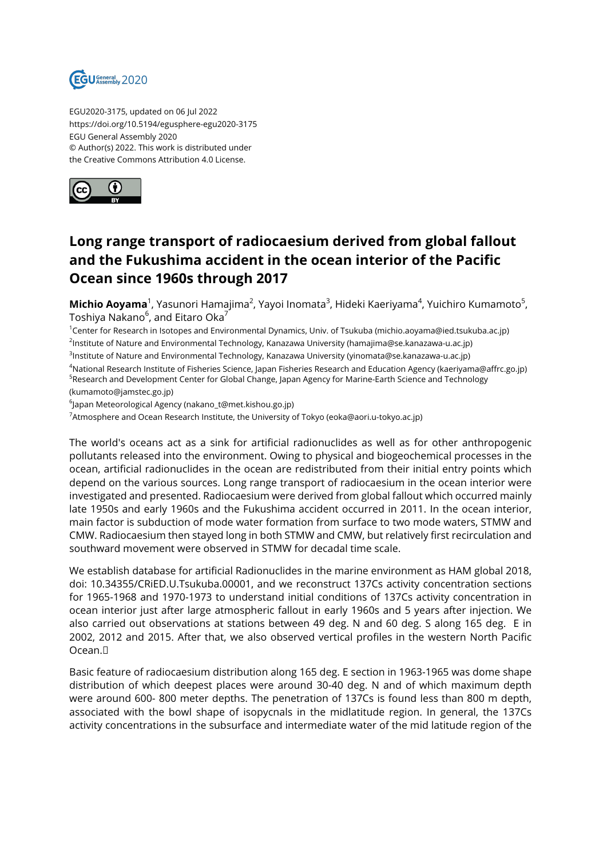

EGU2020-3175, updated on 06 Jul 2022 https://doi.org/10.5194/egusphere-egu2020-3175 EGU General Assembly 2020 © Author(s) 2022. This work is distributed under the Creative Commons Attribution 4.0 License.



## **Long range transport of radiocaesium derived from global fallout and the Fukushima accident in the ocean interior of the Pacific Ocean since 1960s through 2017**

**Michio Aoyama**<sup>1</sup>, Yasunori Hamajima<sup>2</sup>, Yayoi Inomata<sup>3</sup>, Hideki Kaeriyama<sup>4</sup>, Yuichiro Kumamoto<sup>5</sup>, Toshiya Nakano $^6$ , and Eitaro Oka $^7$ 

<sup>1</sup>Center for Research in Isotopes and Environmental Dynamics, Univ. of Tsukuba (michio.aoyama@ied.tsukuba.ac.jp) 2 Institute of Nature and Environmental Technology, Kanazawa University (hamajima@se.kanazawa-u.ac.jp)

3 Institute of Nature and Environmental Technology, Kanazawa University (yinomata@se.kanazawa-u.ac.jp)

<sup>4</sup>National Research Institute of Fisheries Science, Japan Fisheries Research and Education Agency (kaeriyama@affrc.go.jp) <sup>5</sup>Research and Development Center for Global Change, Japan Agency for Marine-Earth Science and Technology (kumamoto@jamstec.go.jp)

6 Japan Meteorological Agency (nakano\_t@met.kishou.go.jp)

<sup>7</sup>Atmosphere and Ocean Research Institute, the University of Tokyo (eoka@aori.u-tokyo.ac.jp)

The world's oceans act as a sink for artificial radionuclides as well as for other anthropogenic pollutants released into the environment. Owing to physical and biogeochemical processes in the ocean, artificial radionuclides in the ocean are redistributed from their initial entry points which depend on the various sources. Long range transport of radiocaesium in the ocean interior were investigated and presented. Radiocaesium were derived from global fallout which occurred mainly late 1950s and early 1960s and the Fukushima accident occurred in 2011. In the ocean interior, main factor is subduction of mode water formation from surface to two mode waters, STMW and CMW. Radiocaesium then stayed long in both STMW and CMW, but relatively first recirculation and southward movement were observed in STMW for decadal time scale.

We establish database for artificial Radionuclides in the marine environment as HAM global 2018, doi: 10.34355/CRiED.U.Tsukuba.00001, and we reconstruct 137Cs activity concentration sections for 1965-1968 and 1970-1973 to understand initial conditions of 137Cs activity concentration in ocean interior just after large atmospheric fallout in early 1960s and 5 years after injection. We also carried out observations at stations between 49 deg. N and 60 deg. S along 165 deg. E in 2002, 2012 and 2015. After that, we also observed vertical profiles in the western North Pacific Ocean.

Basic feature of radiocaesium distribution along 165 deg. E section in 1963-1965 was dome shape distribution of which deepest places were around 30-40 deg. N and of which maximum depth were around 600- 800 meter depths. The penetration of 137Cs is found less than 800 m depth, associated with the bowl shape of isopycnals in the midlatitude region. In general, the 137Cs activity concentrations in the subsurface and intermediate water of the mid latitude region of the